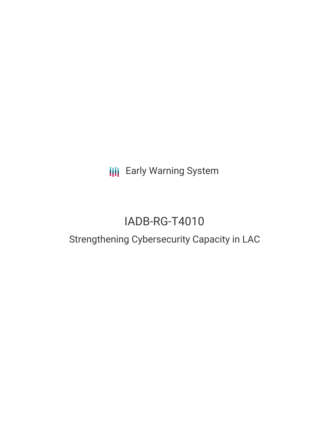**III** Early Warning System

# IADB-RG-T4010

## Strengthening Cybersecurity Capacity in LAC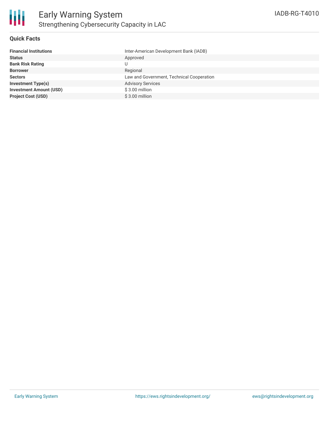

#### **Quick Facts**

| <b>Financial Institutions</b>  | Inter-American Development Bank (IADB)    |
|--------------------------------|-------------------------------------------|
| <b>Status</b>                  | Approved                                  |
| <b>Bank Risk Rating</b>        | U                                         |
| <b>Borrower</b>                | Regional                                  |
| <b>Sectors</b>                 | Law and Government, Technical Cooperation |
| <b>Investment Type(s)</b>      | <b>Advisory Services</b>                  |
| <b>Investment Amount (USD)</b> | $$3.00$ million                           |
| <b>Project Cost (USD)</b>      | $$3.00$ million                           |
|                                |                                           |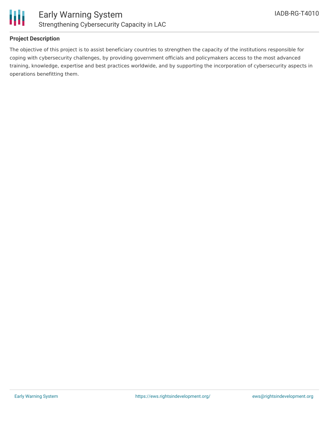

### **Project Description**

The objective of this project is to assist beneficiary countries to strengthen the capacity of the institutions responsible for coping with cybersecurity challenges, by providing government officials and policymakers access to the most advanced training, knowledge, expertise and best practices worldwide, and by supporting the incorporation of cybersecurity aspects in operations benefitting them.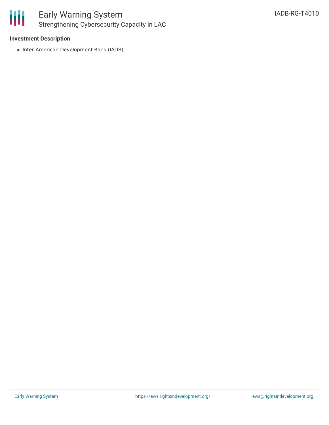

#### **Investment Description**

• Inter-American Development Bank (IADB)